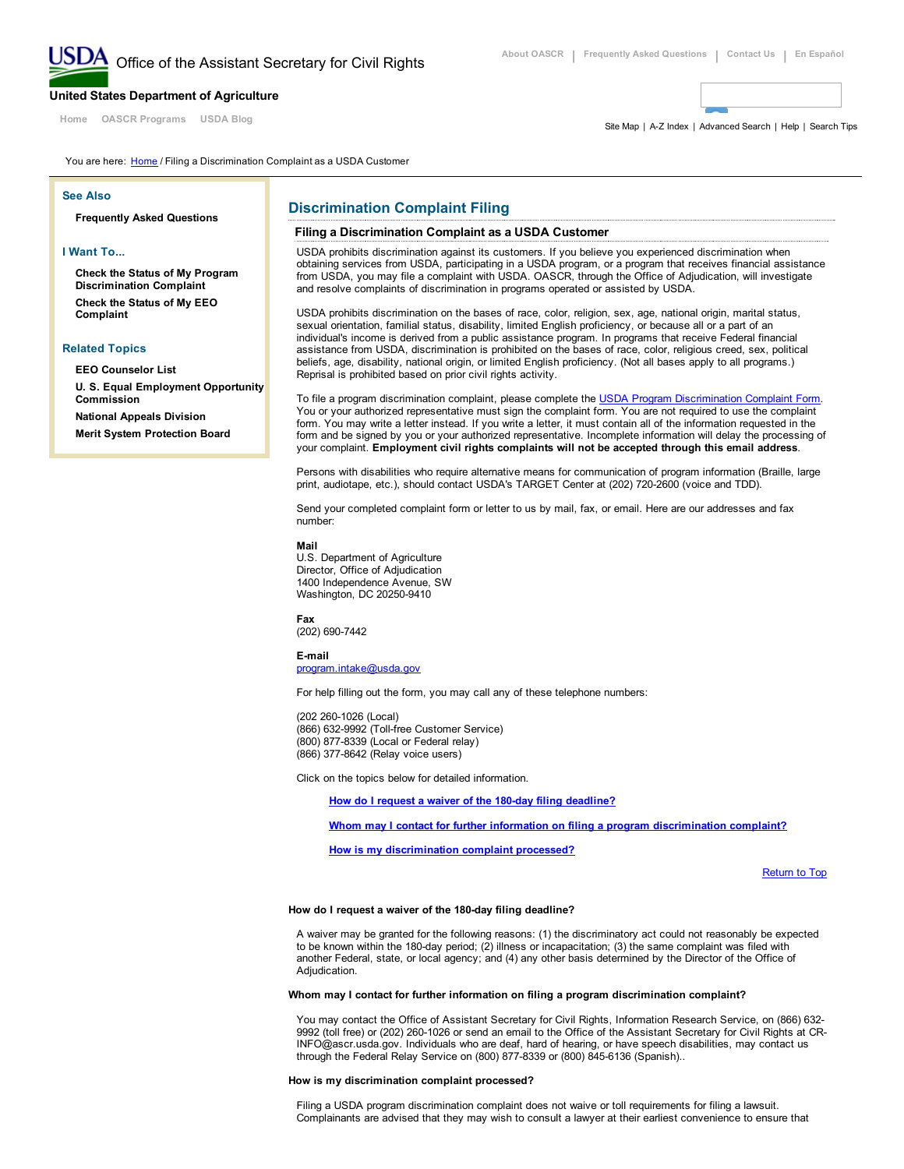[Home](http://www.ascr.usda.gov/index.html) OASCR [Programs](http://www.ascr.usda.gov/complaint_filing_cust.html) [USDA](http://blogs.usda.gov/) Blog

[United](http://www.usda.gov/wps/portal/usda/usdahome) States Department of Agriculture

Site [Map](http://www.ascr.usda.gov/sitemap.html) | A-Z [Index](http://www.usda.gov/wps/portal/usda/usdahome?navid=AZ_INDEX) | [Advanced](http://usdasearch.usda.gov/search/advanced?affiliate=usda&enable_highlighting=true&m=false&page=1&per_page=10) Search | [Help](http://www.ascr.usda.gov/help_cr.html) | [Search](http://www.ascr.usda.gov/help_cr_search.html) Tips

You are here: [Home](http://www.ascr.usda.gov/index.html) / Filing a Discrimination Complaint as a USDA Customer

#### See Also

[Frequently](http://www.ascr.usda.gov/faq/index.html) Asked Questions

# I Want To...

Check the Status of My Program [Discrimination](http://www.ascr.usda.gov/faq/faq_prog_discrim_cr.html#complaint6) Complaint

Check the Status of My EEO [Complaint](http://www.ascr.usda.gov/faq/faq_eeofiling_cr.html#eeocomplaintl)

#### Related Topics

EEO [Counselor](http://www.ascr.usda.gov/doc/EEO_Counselor_List.pdf) List

U. S. Equal [Employment](http://www.eeoc.gov/index.html) Opportunity Commission

National Appeals [Division](http://www.nad.usda.gov/) Merit System [Protection](http://www.mspb.gov/) Board

# Discrimination Complaint Filing

#### Filing a Discrimination Complaint as a USDA Customer

USDA prohibits discrimination against its customers. If you believe you experienced discrimination when obtaining services from USDA, participating in a USDA program, or a program that receives financial assistance from USDA, you may file a complaint with USDA. OASCR, through the Office of Adjudication, will investigate and resolve complaints of discrimination in programs operated or assisted by USDA.

USDA prohibits discrimination on the bases of race, color, religion, sex, age, national origin, marital status, sexual orientation, familial status, disability, limited English proficiency, or because all or a part of an individual's income is derived from a public assistance program. In programs that receive Federal financial assistance from USDA, discrimination is prohibited on the bases of race, color, religious creed, sex, political beliefs, age, disability, national origin, or limited English proficiency. (Not all bases apply to all programs.) Reprisal is prohibited based on prior civil rights activity.

To file a program discrimination complaint, please complete the USDA Program [Discrimination](http://www.ocio.usda.gov/sites/default/files/docs/2012/Complain_combined_6_8_12.pdf) Complaint Form. You or your authorized representative must sign the complaint form. You are not required to use the complaint form. You may write a letter instead. If you write a letter, it must contain all of the information requested in the form and be signed by you or your authorized representative. Incomplete information will delay the processing of your complaint. Employment civil rights complaints will not be accepted through this email address.

Persons with disabilities who require alternative means for communication of program information (Braille, large print, audiotape, etc.), should contact USDA's TARGET Center at (202) 720-2600 (voice and TDD).

Send your completed complaint form or letter to us by mail, fax, or email. Here are our addresses and fax number:

Mail

U.S. Department of Agriculture Director, Office of Adjudication 1400 Independence Avenue, SW Washington, DC 20250-9410

Fax

(202) 690-7442

# Email

[program.intake@usda.gov](mailto:program.intake@usda.gov)

For help filling out the form, you may call any of these telephone numbers:

(202 260-1026 (Local) (866) 632-9992 (Toll-free Customer Service) (800) 877-8339 (Local or Federal relay) (866) 377-8642 (Relay voice users)

Click on the topics below for detailed information.

How do I request a waiver of the 180-day filing [deadline?](#page-0-1)

Whom may I contact for further information on filing a program [discrimination](#page-0-2) complaint?

How is my [discrimination](#page-0-0) complaint processed?

Return to Top

#### <span id="page-0-1"></span>How do I request a waiver of the 180-day filing deadline?

A waiver may be granted for the following reasons: (1) the discriminatory act could not reasonably be expected to be known within the 180-day period; (2) illness or incapacitation; (3) the same complaint was filed with another Federal, state, or local agency; and (4) any other basis determined by the Director of the Office of Adjudication.

#### <span id="page-0-2"></span>Whom may I contact for further information on filing a program discrimination complaint?

You may contact the Office of Assistant Secretary for Civil Rights, Information Research Service, on (866) 632 9992 (toll free) or (202) 260-1026 or send an email to the Office of the Assistant Secretary for Civil Rights at CR-INFO@ascr.usda.gov. Individuals who are deaf, hard of hearing, or have speech disabilities, may contact us through the Federal Relay Service on (800) 877-8339 or (800) 845-6136 (Spanish)..

# <span id="page-0-0"></span>How is my discrimination complaint processed?

Filing a USDA program discrimination complaint does not waive or toll requirements for filing a lawsuit. Complainants are advised that they may wish to consult a lawyer at their earliest convenience to ensure that